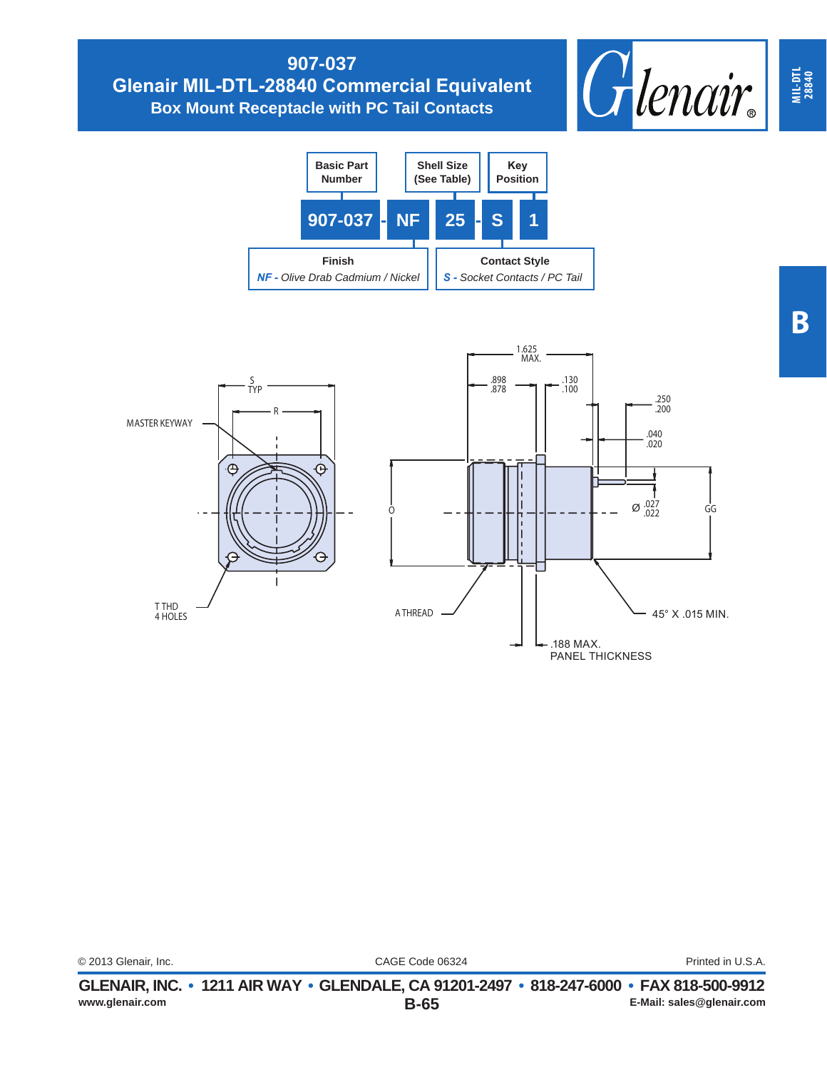## **907-037 Glenair MIL-DTL-28840 Commercial Equivalent Box Mount Receptacle with PC Tail Contacts**





**MIL-DTL 28840**

CAGE Code 06324 © 2013 Glenair, Inc. Printed in U.S.A.